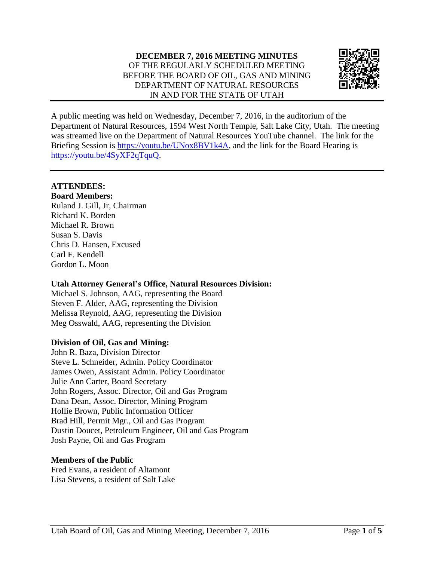

A public meeting was held on Wednesday, December 7, 2016, in the auditorium of the Department of Natural Resources, 1594 West North Temple, Salt Lake City, Utah. The meeting was streamed live on the Department of Natural Resources YouTube channel. The link for the Briefing Session is [https://youtu.be/UNox8BV1k4A,](https://youtu.be/UNox8BV1k4A) and the link for the Board Hearing is [https://youtu.be/4SyXF2qTquQ.](https://youtu.be/4SyXF2qTquQ)

# **ATTENDEES:**

**Board Members:** Ruland J. Gill, Jr, Chairman Richard K. Borden Michael R. Brown Susan S. Davis Chris D. Hansen, Excused Carl F. Kendell Gordon L. Moon

## **Utah Attorney General's Office, Natural Resources Division:**

Michael S. Johnson, AAG, representing the Board Steven F. Alder, AAG, representing the Division Melissa Reynold, AAG, representing the Division Meg Osswald, AAG, representing the Division

## **Division of Oil, Gas and Mining:**

John R. Baza, Division Director Steve L. Schneider, Admin. Policy Coordinator James Owen, Assistant Admin. Policy Coordinator Julie Ann Carter, Board Secretary John Rogers, Assoc. Director, Oil and Gas Program Dana Dean, Assoc. Director, Mining Program Hollie Brown, Public Information Officer Brad Hill, Permit Mgr., Oil and Gas Program Dustin Doucet, Petroleum Engineer, Oil and Gas Program Josh Payne, Oil and Gas Program

## **Members of the Public**

Fred Evans, a resident of Altamont Lisa Stevens, a resident of Salt Lake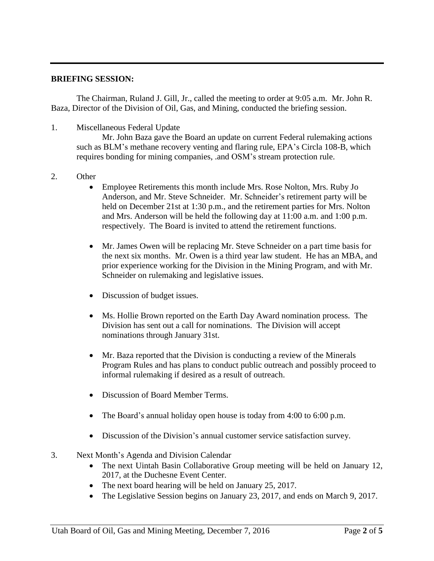#### **BRIEFING SESSION:**

The Chairman, Ruland J. Gill, Jr., called the meeting to order at 9:05 a.m. Mr. John R. Baza, Director of the Division of Oil, Gas, and Mining, conducted the briefing session.

1. Miscellaneous Federal Update

Mr. John Baza gave the Board an update on current Federal rulemaking actions such as BLM's methane recovery venting and flaring rule, EPA's Circla 108-B, which requires bonding for mining companies, .and OSM's stream protection rule.

- 2. Other
	- Employee Retirements this month include Mrs. Rose Nolton, Mrs. Ruby Jo Anderson, and Mr. Steve Schneider. Mr. Schneider's retirement party will be held on December 21st at 1:30 p.m., and the retirement parties for Mrs. Nolton and Mrs. Anderson will be held the following day at 11:00 a.m. and 1:00 p.m. respectively. The Board is invited to attend the retirement functions.
	- Mr. James Owen will be replacing Mr. Steve Schneider on a part time basis for the next six months. Mr. Owen is a third year law student. He has an MBA, and prior experience working for the Division in the Mining Program, and with Mr. Schneider on rulemaking and legislative issues.
	- Discussion of budget issues.
	- Ms. Hollie Brown reported on the Earth Day Award nomination process. The Division has sent out a call for nominations. The Division will accept nominations through January 31st.
	- Mr. Baza reported that the Division is conducting a review of the Minerals Program Rules and has plans to conduct public outreach and possibly proceed to informal rulemaking if desired as a result of outreach.
	- Discussion of Board Member Terms.
	- The Board's annual holiday open house is today from 4:00 to 6:00 p.m.
	- Discussion of the Division's annual customer service satisfaction survey.
- 3. Next Month's Agenda and Division Calendar
	- The next Uintah Basin Collaborative Group meeting will be held on January 12, 2017, at the Duchesne Event Center.
	- The next board hearing will be held on January 25, 2017.
	- The Legislative Session begins on January 23, 2017, and ends on March 9, 2017.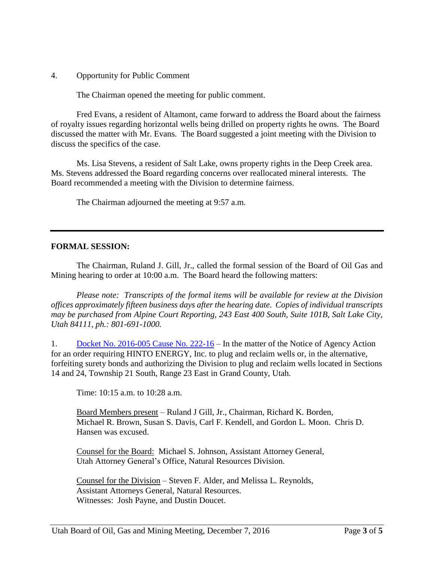4. Opportunity for Public Comment

The Chairman opened the meeting for public comment.

Fred Evans, a resident of Altamont, came forward to address the Board about the fairness of royalty issues regarding horizontal wells being drilled on property rights he owns. The Board discussed the matter with Mr. Evans. The Board suggested a joint meeting with the Division to discuss the specifics of the case.

Ms. Lisa Stevens, a resident of Salt Lake, owns property rights in the Deep Creek area. Ms. Stevens addressed the Board regarding concerns over reallocated mineral interests. The Board recommended a meeting with the Division to determine fairness.

The Chairman adjourned the meeting at 9:57 a.m.

#### **FORMAL SESSION:**

The Chairman, Ruland J. Gill, Jr., called the formal session of the Board of Oil Gas and Mining hearing to order at 10:00 a.m. The Board heard the following matters:

*Please note: Transcripts of the formal items will be available for review at the Division offices approximately fifteen business days after the hearing date. Copies of individual transcripts may be purchased from Alpine Court Reporting, 243 East 400 South, Suite 101B, Salt Lake City, Utah 84111, ph.: 801-691-1000.*

1. Docket No. [2016-005](http://ogm.utah.gov/amr/boardtemp/redesign/2016/12_Dec/Dockets/2016-005_222-13_HintoEnergy.php) Cause No. 222-16 – In the matter of the Notice of Agency Action for an order requiring HINTO ENERGY, Inc. to plug and reclaim wells or, in the alternative, forfeiting surety bonds and authorizing the Division to plug and reclaim wells located in Sections 14 and 24, Township 21 South, Range 23 East in Grand County, Utah.

Time: 10:15 a.m. to 10:28 a.m.

Board Members present – Ruland J Gill, Jr., Chairman, Richard K. Borden, Michael R. Brown, Susan S. Davis, Carl F. Kendell, and Gordon L. Moon. Chris D. Hansen was excused.

Counsel for the Board: Michael S. Johnson, Assistant Attorney General, Utah Attorney General's Office, Natural Resources Division.

Counsel for the Division – Steven F. Alder, and Melissa L. Reynolds, Assistant Attorneys General, Natural Resources. Witnesses: Josh Payne, and Dustin Doucet.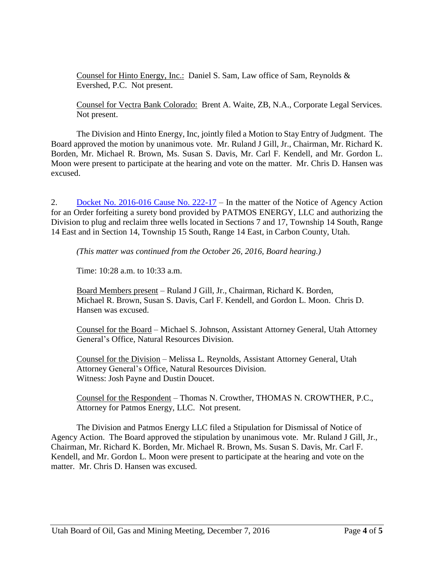Counsel for Hinto Energy, Inc.: Daniel S. Sam, Law office of Sam, Reynolds & Evershed, P.C. Not present.

Counsel for Vectra Bank Colorado: Brent A. Waite, ZB, N.A., Corporate Legal Services. Not present.

The Division and Hinto Energy, Inc, jointly filed a Motion to Stay Entry of Judgment. The Board approved the motion by unanimous vote. Mr. Ruland J Gill, Jr., Chairman, Mr. Richard K. Borden, Mr. Michael R. Brown, Ms. Susan S. Davis, Mr. Carl F. Kendell, and Mr. Gordon L. Moon were present to participate at the hearing and vote on the matter. Mr. Chris D. Hansen was excused.

2. Docket No. [2016-016](http://ogm.utah.gov/amr/boardtemp/redesign/2016/12_Dec/Dockets/2016-016_222-17_Patmos.php) Cause No. 222-17 – In the matter of the Notice of Agency Action for an Order forfeiting a surety bond provided by PATMOS ENERGY, LLC and authorizing the Division to plug and reclaim three wells located in Sections 7 and 17, Township 14 South, Range 14 East and in Section 14, Township 15 South, Range 14 East, in Carbon County, Utah.

*(This matter was continued from the October 26, 2016, Board hearing.)*

Time: 10:28 a.m. to 10:33 a.m.

Board Members present – Ruland J Gill, Jr., Chairman, Richard K. Borden, Michael R. Brown, Susan S. Davis, Carl F. Kendell, and Gordon L. Moon. Chris D. Hansen was excused.

Counsel for the Board – Michael S. Johnson, Assistant Attorney General, Utah Attorney General's Office, Natural Resources Division.

Counsel for the Division – Melissa L. Reynolds, Assistant Attorney General, Utah Attorney General's Office, Natural Resources Division. Witness: Josh Payne and Dustin Doucet.

Counsel for the Respondent – Thomas N. Crowther, THOMAS N. CROWTHER, P.C., Attorney for Patmos Energy, LLC. Not present.

The Division and Patmos Energy LLC filed a Stipulation for Dismissal of Notice of Agency Action. The Board approved the stipulation by unanimous vote. Mr. Ruland J Gill, Jr., Chairman, Mr. Richard K. Borden, Mr. Michael R. Brown, Ms. Susan S. Davis, Mr. Carl F. Kendell, and Mr. Gordon L. Moon were present to participate at the hearing and vote on the matter. Mr. Chris D. Hansen was excused.